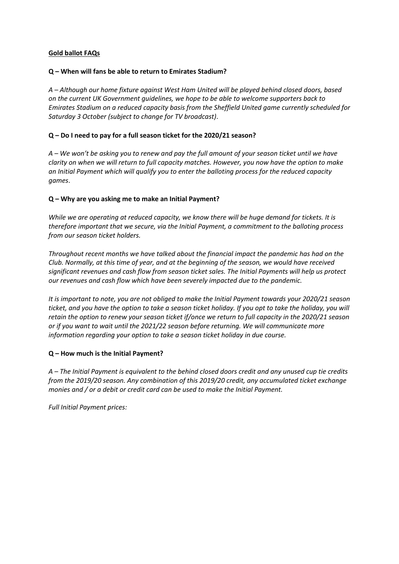## **Gold ballot FAQs**

### **Q – When will fans be able to return to Emirates Stadium?**

*A – Although our home fixture against West Ham United will be played behind closed doors, based on the current UK Government guidelines, we hope to be able to welcome supporters back to Emirates Stadium on a reduced capacity basis from the Sheffield United game currently scheduled for Saturday 3 October (subject to change for TV broadcast)*.

## **Q – Do I need to pay for a full season ticket for the 2020/21 season?**

*A – We won't be asking you to renew and pay the full amount of your season ticket until we have clarity on when we will return to full capacity matches. However, you now have the option to make an Initial Payment which will qualify you to enter the balloting process for the reduced capacity games*.

### **Q – Why are you asking me to make an Initial Payment?**

*While we are operating at reduced capacity, we know there will be huge demand for tickets. It is therefore important that we secure, via the Initial Payment, a commitment to the balloting process from our season ticket holders.* 

*Throughout recent months we have talked about the financial impact the pandemic has had on the Club. Normally, at this time of year, and at the beginning of the season, we would have received significant revenues and cash flow from season ticket sales. The Initial Payments will help us protect our revenues and cash flow which have been severely impacted due to the pandemic.* 

*It is important to note, you are not obliged to make the Initial Payment towards your 2020/21 season ticket, and you have the option to take a season ticket holiday. If you opt to take the holiday, you will retain the option to renew your season ticket if/once we return to full capacity in the 2020/21 season or if you want to wait until the 2021/22 season before returning. We will communicate more information regarding your option to take a season ticket holiday in due course.* 

## **Q – How much is the Initial Payment?**

*A – The Initial Payment is equivalent to the behind closed doors credit and any unused cup tie credits from the 2019/20 season. Any combination of this 2019/20 credit, any accumulated ticket exchange monies and / or a debit or credit card can be used to make the Initial Payment.*

*Full Initial Payment prices:*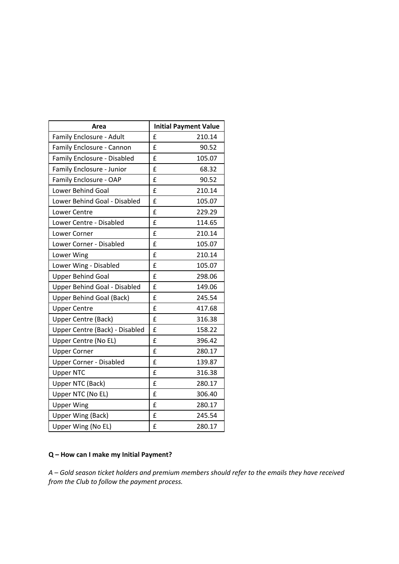| Area                            | <b>Initial Payment Value</b> |
|---------------------------------|------------------------------|
| Family Enclosure - Adult        | £<br>210.14                  |
| Family Enclosure - Cannon       | £<br>90.52                   |
| Family Enclosure - Disabled     | £<br>105.07                  |
| Family Enclosure - Junior       | £<br>68.32                   |
| Family Enclosure - OAP          | 90.52<br>£                   |
| Lower Behind Goal               | £<br>210.14                  |
| Lower Behind Goal - Disabled    | £<br>105.07                  |
| Lower Centre                    | £<br>229.29                  |
| Lower Centre - Disabled         | £<br>114.65                  |
| Lower Corner                    | £<br>210.14                  |
| Lower Corner - Disabled         | £<br>105.07                  |
| Lower Wing                      | £<br>210.14                  |
| Lower Wing - Disabled           | £<br>105.07                  |
| <b>Upper Behind Goal</b>        | £<br>298.06                  |
| Upper Behind Goal - Disabled    | £<br>149.06                  |
| <b>Upper Behind Goal (Back)</b> | £<br>245.54                  |
| <b>Upper Centre</b>             | £<br>417.68                  |
| <b>Upper Centre (Back)</b>      | 316.38<br>£                  |
| Upper Centre (Back) - Disabled  | £<br>158.22                  |
| Upper Centre (No EL)            | £<br>396.42                  |
| <b>Upper Corner</b>             | £<br>280.17                  |
| <b>Upper Corner - Disabled</b>  | £<br>139.87                  |
| <b>Upper NTC</b>                | £<br>316.38                  |
| Upper NTC (Back)                | 280.17<br>£                  |
| Upper NTC (No EL)               | 306.40<br>£                  |
| <b>Upper Wing</b>               | £<br>280.17                  |
| Upper Wing (Back)               | £<br>245.54                  |
| Upper Wing (No EL)              | £<br>280.17                  |

# **Q – How can I make my Initial Payment?**

*A – Gold season ticket holders and premium members should refer to the emails they have received from the Club to follow the payment process.*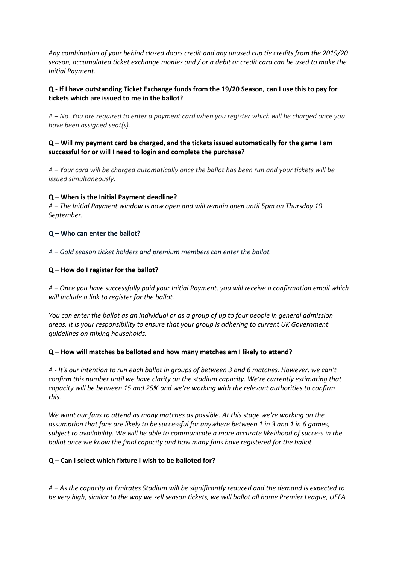*Any combination of your behind closed doors credit and any unused cup tie credits from the 2019/20 season, accumulated ticket exchange monies and / or a debit or credit card can be used to make the Initial Payment.*

## **Q - If I have outstanding Ticket Exchange funds from the 19/20 Season, can I use this to pay for tickets which are issued to me in the ballot?**

*A – No. You are required to enter a payment card when you register which will be charged once you have been assigned seat(s).* 

## **Q – Will my payment card be charged, and the tickets issued automatically for the game I am successful for or will I need to login and complete the purchase?**

*A – Your card will be charged automatically once the ballot has been run and your tickets will be issued simultaneously.*

## **Q – When is the Initial Payment deadline?**

*A – The Initial Payment window is now open and will remain open until 5pm on Thursday 10 September.*

### **Q – Who can enter the ballot?**

*A – Gold season ticket holders and premium members can enter the ballot.*

### **Q – How do I register for the ballot?**

*A – Once you have successfully paid your Initial Payment, you will receive a confirmation email which will include a link to register for the ballot.*

*You can enter the ballot as an individual or as a group of up to four people in general admission areas. It is your responsibility to ensure that your group is adhering to current UK Government guidelines on mixing households.*

#### **Q – How will matches be balloted and how many matches am I likely to attend?**

*A - It's our intention to run each ballot in groups of between 3 and 6 matches. However, we can't confirm this number until we have clarity on the stadium capacity. We're currently estimating that capacity will be between 15 and 25% and we're working with the relevant authorities to confirm this.*

*We want our fans to attend as many matches as possible. At this stage we're working on the assumption that fans are likely to be successful for anywhere between 1 in 3 and 1 in 6 games, subject to availability. We will be able to communicate a more accurate likelihood of success in the ballot once we know the final capacity and how many fans have registered for the ballot*

#### **Q – Can I select which fixture I wish to be balloted for?**

*A – As the capacity at Emirates Stadium will be significantly reduced and the demand is expected to be very high, similar to the way we sell season tickets, we will ballot all home Premier League, UEFA*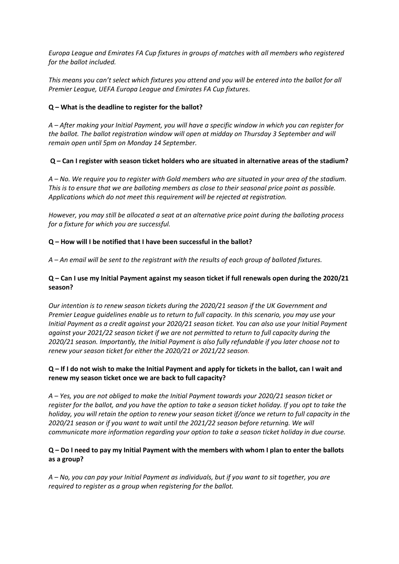*Europa League and Emirates FA Cup fixtures in groups of matches with all members who registered for the ballot included.*

*This means you can't select which fixtures you attend and you will be entered into the ballot for all Premier League, UEFA Europa League and Emirates FA Cup fixtures*.

## **Q – What is the deadline to register for the ballot?**

*A – After making your Initial Payment, you will have a specific window in which you can register for the ballot. The ballot registration window will open at midday on Thursday 3 September and will remain open until 5pm on Monday 14 September.*

## **Q – Can I register with season ticket holders who are situated in alternative areas of the stadium?**

*A – No. We require you to register with Gold members who are situated in your area of the stadium. This is to ensure that we are balloting members as close to their seasonal price point as possible. Applications which do not meet this requirement will be rejected at registration.*

*However, you may still be allocated a seat at an alternative price point during the balloting process for a fixture for which you are successful.* 

### **Q – How will I be notified that I have been successful in the ballot?**

*A – An email will be sent to the registrant with the results of each group of balloted fixtures.* 

## **Q – Can I use my Initial Payment against my season ticket if full renewals open during the 2020/21 season?**

*Our intention is to renew season tickets during the 2020/21 season if the UK Government and Premier League guidelines enable us to return to full capacity. In this scenario, you may use your Initial Payment as a credit against your 2020/21 season ticket. You can also use your Initial Payment against your 2021/22 season ticket if we are not permitted to return to full capacity during the 2020/21 season. Importantly, the Initial Payment is also fully refundable if you later choose not to renew your season ticket for either the 2020/21 or 2021/22 season.*

### **Q – If I do not wish to make the Initial Payment and apply for tickets in the ballot, can I wait and renew my season ticket once we are back to full capacity?**

*A – Yes, you are not obliged to make the Initial Payment towards your 2020/21 season ticket or register for the ballot, and you have the option to take a season ticket holiday. If you opt to take the holiday, you will retain the option to renew your season ticket if/once we return to full capacity in the 2020/21 season or if you want to wait until the 2021/22 season before returning. We will communicate more information regarding your option to take a season ticket holiday in due course.*

## **Q – Do I need to pay my Initial Payment with the members with whom I plan to enter the ballots as a group?**

*A – No, you can pay your Initial Payment as individuals, but if you want to sit together, you are required to register as a group when registering for the ballot.*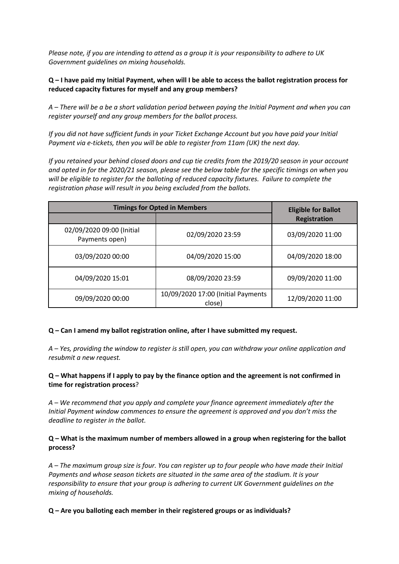*Please note, if you are intending to attend as a group it is your responsibility to adhere to UK Government guidelines on mixing households.*

## **Q – I have paid my Initial Payment, when will I be able to access the ballot registration process for reduced capacity fixtures for myself and any group members?**

*A – There will be a be a short validation period between paying the Initial Payment and when you can register yourself and any group members for the ballot process.* 

*If you did not have sufficient funds in your Ticket Exchange Account but you have paid your Initial Payment via e-tickets, then you will be able to register from 11am (UK) the next day.*

*If you retained your behind closed doors and cup tie credits from the 2019/20 season in your account and opted in for the 2020/21 season, please see the below table for the specific timings on when you will be eligible to register for the balloting of reduced capacity fixtures. Failure to complete the registration phase will result in you being excluded from the ballots.*

| <b>Timings for Opted in Members</b>         |                                              | <b>Eligible for Ballot</b> |
|---------------------------------------------|----------------------------------------------|----------------------------|
|                                             |                                              | <b>Registration</b>        |
| 02/09/2020 09:00 (Initial<br>Payments open) | 02/09/2020 23:59                             | 03/09/2020 11:00           |
| 03/09/2020 00:00                            | 04/09/2020 15:00                             | 04/09/2020 18:00           |
| 04/09/2020 15:01                            | 08/09/2020 23:59                             | 09/09/2020 11:00           |
| 09/09/2020 00:00                            | 10/09/2020 17:00 (Initial Payments<br>close) | 12/09/2020 11:00           |

#### **Q – Can I amend my ballot registration online, after I have submitted my request.**

*A – Yes, providing the window to register is still open, you can withdraw your online application and resubmit a new request.* 

### **Q – What happens if I apply to pay by the finance option and the agreement is not confirmed in time for registration process**?

*A – We recommend that you apply and complete your finance agreement immediately after the Initial Payment window commences to ensure the agreement is approved and you don't miss the deadline to register in the ballot.*

## **Q – What is the maximum number of members allowed in a group when registering for the ballot process?**

*A – The maximum group size is four. You can register up to four people who have made their Initial Payments and whose season tickets are situated in the same area of the stadium. It is your responsibility to ensure that your group is adhering to current UK Government guidelines on the mixing of households.*

#### **Q – Are you balloting each member in their registered groups or as individuals?**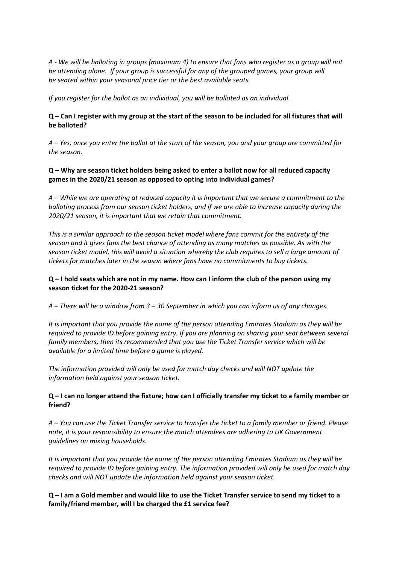*A - We will be balloting in groups (maximum 4) to ensure that fans who register as a group will not be attending alone. If your group is successful for any of the grouped games, your group will be seated within your seasonal price tier or the best available seats.* 

*If you register for the ballot as an individual, you will be balloted as an individual.*

## **Q – Can I register with my group at the start of the season to be included for all fixtures that will be balloted?**

*A – Yes, once you enter the ballot at the start of the season, you and your group are committed for the season.*

## **Q – Why are season ticket holders being asked to enter a ballot now for all reduced capacity games in the 2020/21 season as opposed to opting into individual games?**

*A – While we are operating at reduced capacity it is important that we secure a commitment to the balloting process from our season ticket holders, and if we are able to increase capacity during the 2020/21 season, it is important that we retain that commitment.* 

*This is a similar approach to the season ticket model where fans commit for the entirety of the season and it gives fans the best chance of attending as many matches as possible. As with the season ticket model, this will avoid a situation whereby the club requires to sell a large amount of tickets for matches later in the season where fans have no commitments to buy tickets.*

## **Q – I hold seats which are not in my name. How can I inform the club of the person using my season ticket for the 2020-21 season?**

*A – There will be a window from 3 – 30 September in which you can inform us of any changes.*

*It is important that you provide the name of the person attending Emirates Stadium as they will be required to provide ID before gaining entry. If you are planning on sharing your seat between several family members, then its recommended that you use the Ticket Transfer service which will be available for a limited time before a game is played.* 

*The information provided will only be used for match day checks and will NOT update the information held against your season ticket.* 

## **Q – I can no longer attend the fixture; how can I officially transfer my ticket to a family member or friend?**

*A – You can use the Ticket Transfer service to transfer the ticket to a family member or friend. Please note, it is your responsibility to ensure the match attendees are adhering to UK Government guidelines on mixing households.* 

*It is important that you provide the name of the person attending Emirates Stadium as they will be required to provide ID before gaining entry. The information provided will only be used for match day checks and will NOT update the information held against your season ticket.*

**Q – I am a Gold member and would like to use the Ticket Transfer service to send my ticket to a family/friend member, will I be charged the £1 service fee?**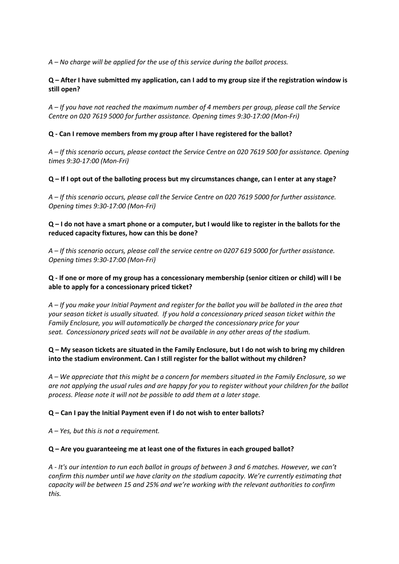*A – No charge will be applied for the use of this service during the ballot process.*

## **Q – After I have submitted my application, can I add to my group size if the registration window is still open?**

*A – If you have not reached the maximum number of 4 members per group, please call the Service Centre on 020 7619 5000 for further assistance. Opening times 9:30-17:00 (Mon-Fri)*

### **Q - Can I remove members from my group after I have registered for the ballot?**

*A – If this scenario occurs, please contact the Service Centre on 020 7619 500 for assistance. Opening times 9:30-17:00 (Mon-Fri)*

#### **Q – If I opt out of the balloting process but my circumstances change, can I enter at any stage?**

*A – If this scenario occurs, please call the Service Centre on 020 7619 5000 for further assistance. Opening times 9:30-17:00 (Mon-Fri)*

### **Q – I do not have a smart phone or a computer, but I would like to register in the ballots for the reduced capacity fixtures, how can this be done?**

*A – If this scenario occurs, please call the service centre on 0207 619 5000 for further assistance. Opening times 9:30-17:00 (Mon-Fri)*

## **Q - If one or more of my group has a concessionary membership (senior citizen or child) will I be able to apply for a concessionary priced ticket?**

*A – If you make your Initial Payment and register for the ballot you will be balloted in the area that your season ticket is usually situated. If you hold a concessionary priced season ticket within the Family Enclosure, you will automatically be charged the concessionary price for your seat. Concessionary priced seats will not be available in any other areas of the stadium.* 

## **Q – My season tickets are situated in the Family Enclosure, but I do not wish to bring my children into the stadium environment. Can I still register for the ballot without my children?**

*A – We appreciate that this might be a concern for members situated in the Family Enclosure, so we are not applying the usual rules and are happy for you to register without your children for the ballot process. Please note it will not be possible to add them at a later stage.* 

#### **Q – Can I pay the Initial Payment even if I do not wish to enter ballots?**

*A – Yes, but this is not a requirement.*

#### **Q – Are you guaranteeing me at least one of the fixtures in each grouped ballot?**

*A - It's our intention to run each ballot in groups of between 3 and 6 matches. However, we can't confirm this number until we have clarity on the stadium capacity. We're currently estimating that capacity will be between 15 and 25% and we're working with the relevant authorities to confirm this.*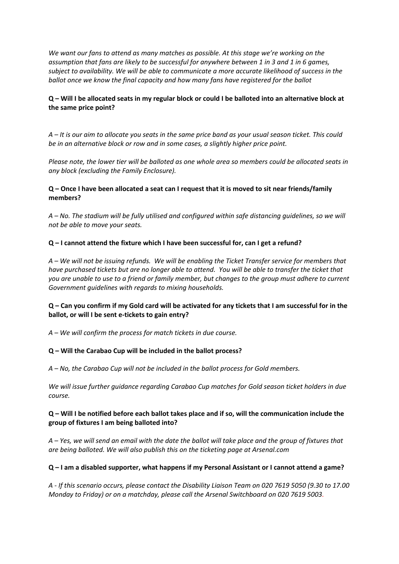*We want our fans to attend as many matches as possible. At this stage we're working on the assumption that fans are likely to be successful for anywhere between 1 in 3 and 1 in 6 games, subject to availability. We will be able to communicate a more accurate likelihood of success in the ballot once we know the final capacity and how many fans have registered for the ballot*

## **Q – Will I be allocated seats in my regular block or could I be balloted into an alternative block at the same price point?**

*A – It is our aim to allocate you seats in the same price band as your usual season ticket. This could be in an alternative block or row and in some cases, a slightly higher price point.*

*Please note, the lower tier will be balloted as one whole area so members could be allocated seats in any block (excluding the Family Enclosure).*

## **Q – Once I have been allocated a seat can I request that it is moved to sit near friends/family members?**

*A – No. The stadium will be fully utilised and configured within safe distancing guidelines, so we will not be able to move your seats.*

### **Q – I cannot attend the fixture which I have been successful for, can I get a refund?**

*A – We will not be issuing refunds. We will be enabling the Ticket Transfer service for members that have purchased tickets but are no longer able to attend. You will be able to transfer the ticket that you are unable to use to a friend or family member, but changes to the group must adhere to current Government guidelines with regards to mixing households.*

## **Q – Can you confirm if my Gold card will be activated for any tickets that I am successful for in the ballot, or will I be sent e-tickets to gain entry?**

*A – We will confirm the process for match tickets in due course.*

#### **Q – Will the Carabao Cup will be included in the ballot process?**

*A – No, the Carabao Cup will not be included in the ballot process for Gold members.*

*We will issue further guidance regarding Carabao Cup matches for Gold season ticket holders in due course.*

### **Q – Will I be notified before each ballot takes place and if so, will the communication include the group of fixtures I am being balloted into?**

*A – Yes, we will send an email with the date the ballot will take place and the group of fixtures that are being balloted. We will also publish this on the ticketing page at Arsenal.com*

#### **Q – I am a disabled supporter, what happens if my Personal Assistant or I cannot attend a game?**

*A - If this scenario occurs, please contact the Disability Liaison Team on 020 7619 5050 (9.30 to 17.00 Monday to Friday) or on a matchday, please call the Arsenal Switchboard on 020 7619 5003.*